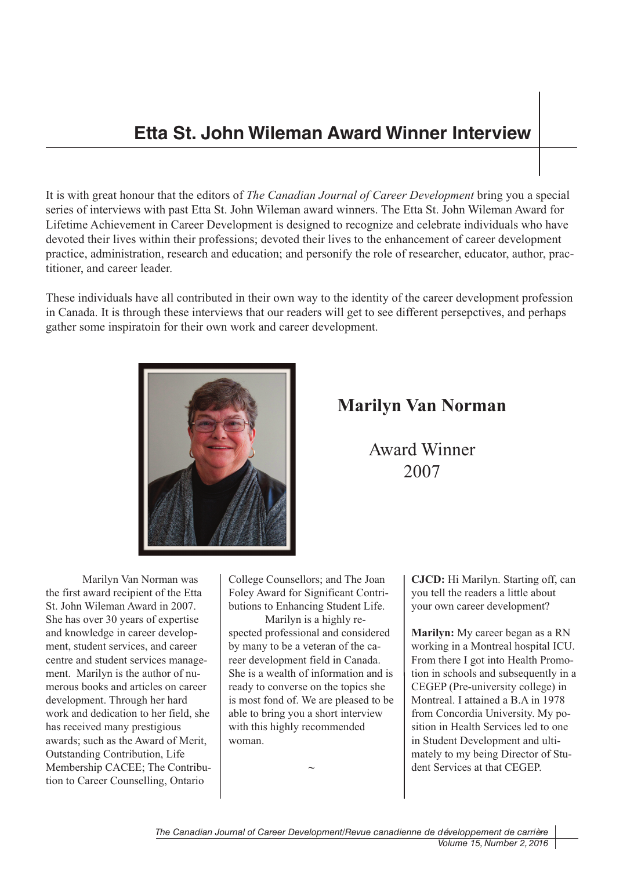## **Etta St. John Wileman Award Winner Interview**

It is with great honour that the editors of *The Canadian Journal of Career Development* bring you a special series of interviews with past Etta St. John Wileman award winners. The Etta St. John Wileman Award for Lifetime Achievement in Career Development is designed to recognize and celebrate individuals who have devoted their lives within their professions; devoted their lives to the enhancement of career development practice, administration, research and education; and personify the role of researcher, educator, author, practitioner, and career leader.

These individuals have all contributed in their own way to the identity of the career development profession in Canada. It is through these interviews that our readers will get to see different persepctives, and perhaps gather some inspiratoin for their own work and career development.



## **Marilyn Van Norman**

Award Winner 2007

Marilyn Van Norman was the first award recipient of the Etta St. John Wileman Award in 2007. She has over 30 years of expertise and knowledge in career development, student services, and career centre and student services management. Marilyn is the author of numerous books and articles on career development. Through her hard work and dedication to her field, she has received many prestigious awards; such as the Award of Merit, Outstanding Contribution, Life Membership CACEE; The Contribution to Career Counselling, Ontario

College Counsellors; and The Joan Foley Award for Significant Contributions to Enhancing Student Life.

Marilyn is a highly respected professional and considered by many to be a veteran of the career development field in Canada. She is a wealth of information and is ready to converse on the topics she is most fond of. We are pleased to be able to bring you a short interview with this highly recommended woman.

**~**

**CJCD:** Hi Marilyn. Starting off, can you tell the readers a little about your own career development?

**Marilyn:** My career began as a RN working in a Montreal hospital ICU. From there I got into Health Promotion in schools and subsequently in a CEGEP (Pre-university college) in Montreal. I attained a B.A in 1978 from Concordia University. My position in Health Services led to one in Student Development and ultimately to my being Director of Student Services at that CEGEP.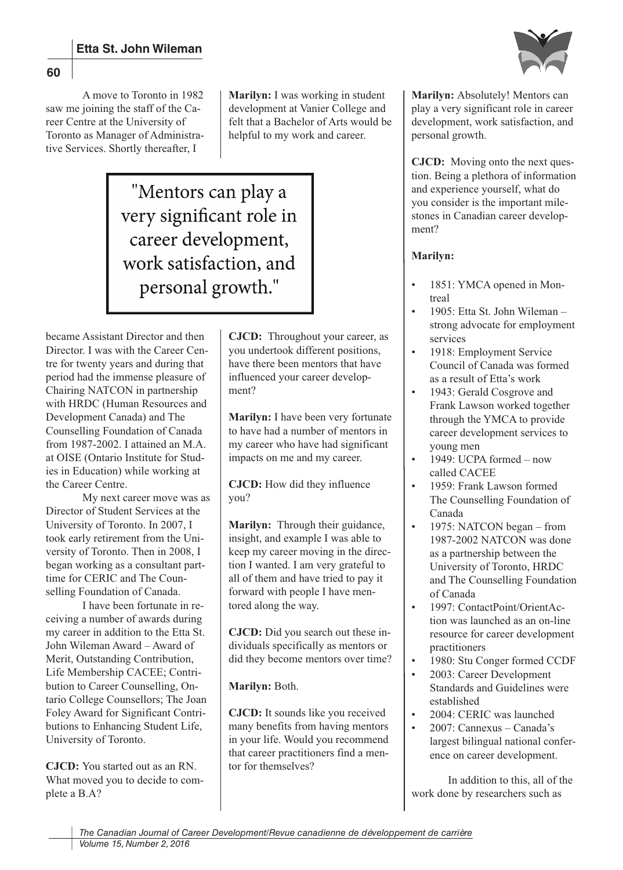

A move to Toronto in 1982 saw me joining the staff of the Career Centre at the University of Toronto as Manager of Administrative Services. Shortly thereafter, I

**Marilyn:** I was working in student development at Vanier College and felt that a Bachelor of Arts would be helpful to my work and career.

"Mentors can play a very significant role in career development, work satisfaction, and personal growth."

became Assistant Director and then Director. I was with the Career Centre for twenty years and during that period had the immense pleasure of Chairing NATCON in partnership with HRDC (Human Resources and Development Canada) and The Counselling Foundation of Canada from 1987-2002. I attained an M.A. at OISE (Ontario Institute for Studies in Education) while working at the Career Centre.

My next career move was as Director of Student Services at the University of Toronto. In 2007, I took early retirement from the University of Toronto. Then in 2008, I began working as a consultant parttime for CERIC and The Counselling Foundation of Canada.

I have been fortunate in receiving a number of awards during my career in addition to the Etta St. John Wileman Award – Award of Merit, Outstanding Contribution, Life Membership CACEE; Contribution to Career Counselling, Ontario College Counsellors; The Joan Foley Award for Significant Contributions to Enhancing Student Life, University of Toronto.

**CJCD:** You started out as an RN. What moved you to decide to complete a B.A?

**CJCD:** Throughout your career, as you undertook different positions, have there been mentors that have influenced your career development?

**Marilyn:** I have been very fortunate to have had a number of mentors in my career who have had significant impacts on me and my career.

**CJCD:** How did they influence you?

**Marilyn:** Through their guidance, insight, and example I was able to keep my career moving in the direction I wanted. I am very grateful to all of them and have tried to pay it forward with people I have mentored along the way.

**CJCD:** Did you search out these individuals specifically as mentors or did they become mentors over time?

## **Marilyn:** Both.

**CJCD:** It sounds like you received many benefits from having mentors in your life. Would you recommend that career practitioners find a mentor for themselves?

**Marilyn:** Absolutely! Mentors can play a very significant role in career development, work satisfaction, and personal growth.

**CJCD:** Moving onto the next question. Being a plethora of information and experience yourself, what do you consider is the important milestones in Canadian career development?

## **Marilyn:**

- 1851: YMCA opened in Montreal
- 1905: Etta St. John Wileman strong advocate for employment services
- 1918: Employment Service Council of Canada was formed as a result of Etta's work
- 1943: Gerald Cosgrove and Frank Lawson worked together through the YMCA to provide career development services to young men
- 1949: UCPA formed now called CACEE
- 1959: Frank Lawson formed The Counselling Foundation of Canada
- 1975: NATCON began from 1987-2002 NATCON was done as a partnership between the University of Toronto, HRDC and The Counselling Foundation of Canada
- 1997: ContactPoint/OrientAction was launched as an on-line resource for career development practitioners
- 1980: Stu Conger formed CCDF
- 2003: Career Development Standards and Guidelines were established
- 2004: CERIC was launched • 2007: Cannexus – Canada's
- largest bilingual national conference on career development.

In addition to this, all of the work done by researchers such as